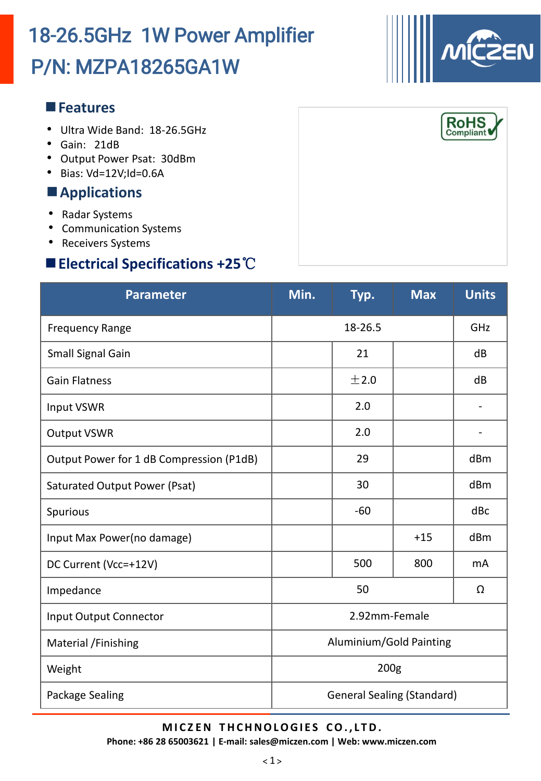### **Features**

- Ultra Wide Band: 18-26.5GHz
- Gain: 21dB
- Output Power Psat: 30dBm
- Bias: Vd=12V;Id=0.6A

### **Applications**

- Radar Systems
- Communication Systems
- Receivers Systems

## **Electrical Specifications +25**℃

| <b>Parameter</b>                         | Min.                              | Typ.  | <b>Max</b> | <b>Units</b>                 |
|------------------------------------------|-----------------------------------|-------|------------|------------------------------|
| <b>Frequency Range</b>                   | 18-26.5                           |       |            | GHz                          |
| Small Signal Gain                        |                                   | 21    |            | dB                           |
| <b>Gain Flatness</b>                     |                                   | ±2.0  |            | dB                           |
| <b>Input VSWR</b>                        |                                   | 2.0   |            |                              |
| <b>Output VSWR</b>                       |                                   | 2.0   |            | $\qquad \qquad \blacksquare$ |
| Output Power for 1 dB Compression (P1dB) |                                   | 29    |            | dBm                          |
| <b>Saturated Output Power (Psat)</b>     |                                   | 30    |            | dBm                          |
| Spurious                                 |                                   | $-60$ |            | dBc                          |
| Input Max Power(no damage)               |                                   |       | $+15$      | dBm                          |
| DC Current (Vcc=+12V)                    |                                   | 500   | 800        | m <sub>A</sub>               |
| Impedance                                | 50                                |       |            | Ω                            |
| <b>Input Output Connector</b>            | 2.92mm-Female                     |       |            |                              |
| Material /Finishing                      | Aluminium/Gold Painting           |       |            |                              |
| Weight                                   | 200 <sub>g</sub>                  |       |            |                              |
| Package Sealing                          | <b>General Sealing (Standard)</b> |       |            |                              |

**M I C Z EN T HCHNOLOGI E S CO. , L TD.**

**Phone: +86 28 65003621 | E-mail: sales@miczen.com | Web: www.miczen.com**